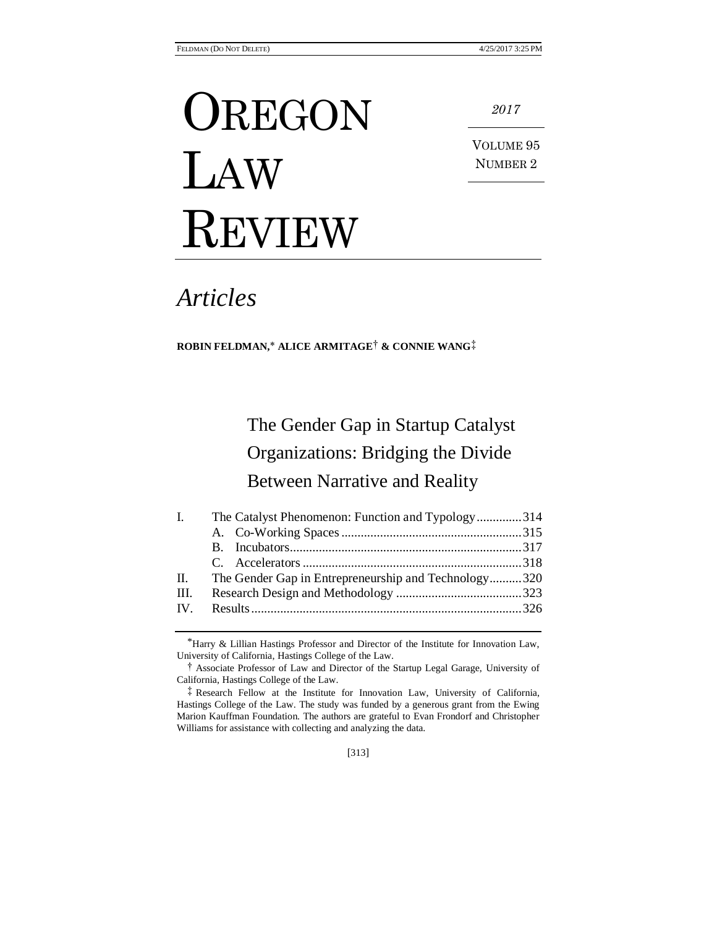# **OREGON** LAW REVIEW

VOLUME 95 NUMBER 2

 *2017*

# *Articles*

**ROBIN FELDMAN, ALICE ARMITAGE**† **& CONNIE WANG**‡

# The Gender Gap in Startup Catalyst Organizations: Bridging the Divide Between Narrative and Reality

| $\mathbf{I}$ . | The Catalyst Phenomenon: Function and Typology314    |  |
|----------------|------------------------------------------------------|--|
|                |                                                      |  |
|                |                                                      |  |
|                |                                                      |  |
| П.             | The Gender Gap in Entrepreneurship and Technology320 |  |
| III.           |                                                      |  |
|                |                                                      |  |

[313]

<sup>\*</sup>Harry & Lillian Hastings Professor and Director of the Institute for Innovation Law, University of California, Hastings College of the Law.

<sup>†</sup> Associate Professor of Law and Director of the Startup Legal Garage, University of California, Hastings College of the Law.

<sup>‡</sup> Research Fellow at the Institute for Innovation Law, University of California, Hastings College of the Law. The study was funded by a generous grant from the Ewing Marion Kauffman Foundation. The authors are grateful to Evan Frondorf and Christopher Williams for assistance with collecting and analyzing the data.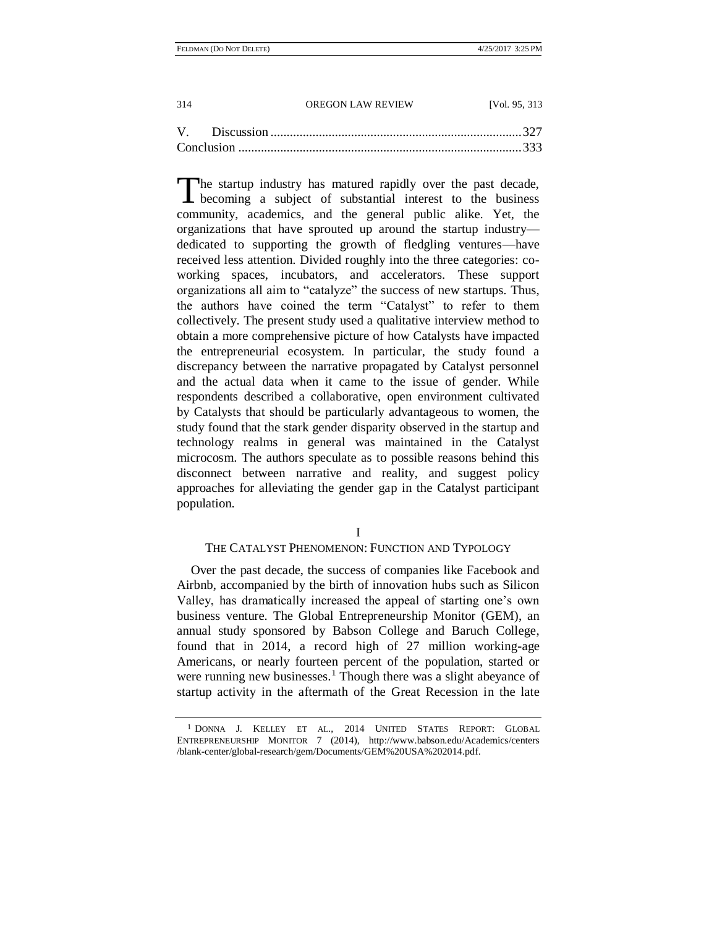The startup industry has matured rapidly over the past decade, becoming a subject of substantial interest to the business **L** becoming a subject of substantial interest to the business community, academics, and the general public alike. Yet, the organizations that have sprouted up around the startup industry dedicated to supporting the growth of fledgling ventures—have received less attention. Divided roughly into the three categories: coworking spaces, incubators, and accelerators. These support organizations all aim to "catalyze" the success of new startups. Thus, the authors have coined the term "Catalyst" to refer to them collectively. The present study used a qualitative interview method to obtain a more comprehensive picture of how Catalysts have impacted the entrepreneurial ecosystem. In particular, the study found a discrepancy between the narrative propagated by Catalyst personnel and the actual data when it came to the issue of gender. While respondents described a collaborative, open environment cultivated by Catalysts that should be particularly advantageous to women, the study found that the stark gender disparity observed in the startup and technology realms in general was maintained in the Catalyst microcosm. The authors speculate as to possible reasons behind this disconnect between narrative and reality, and suggest policy approaches for alleviating the gender gap in the Catalyst participant population.

#### THE CATALYST PHENOMENON: FUNCTION AND TYPOLOGY

Over the past decade, the success of companies like Facebook and Airbnb, accompanied by the birth of innovation hubs such as Silicon Valley, has dramatically increased the appeal of starting one's own business venture. The Global Entrepreneurship Monitor (GEM), an annual study sponsored by Babson College and Baruch College, found that in 2014, a record high of 27 million working-age Americans, or nearly fourteen percent of the population, started or were running new businesses.<sup>1</sup> Though there was a slight abeyance of startup activity in the aftermath of the Great Recession in the late

<sup>1</sup> DONNA J. KELLEY ET AL., 2014 UNITED STATES REPORT: GLOBAL ENTREPRENEURSHIP MONITOR 7 (2014), http://www.babson.edu/Academics/centers /blank-center/global-research/gem/Documents/GEM%20USA%202014.pdf.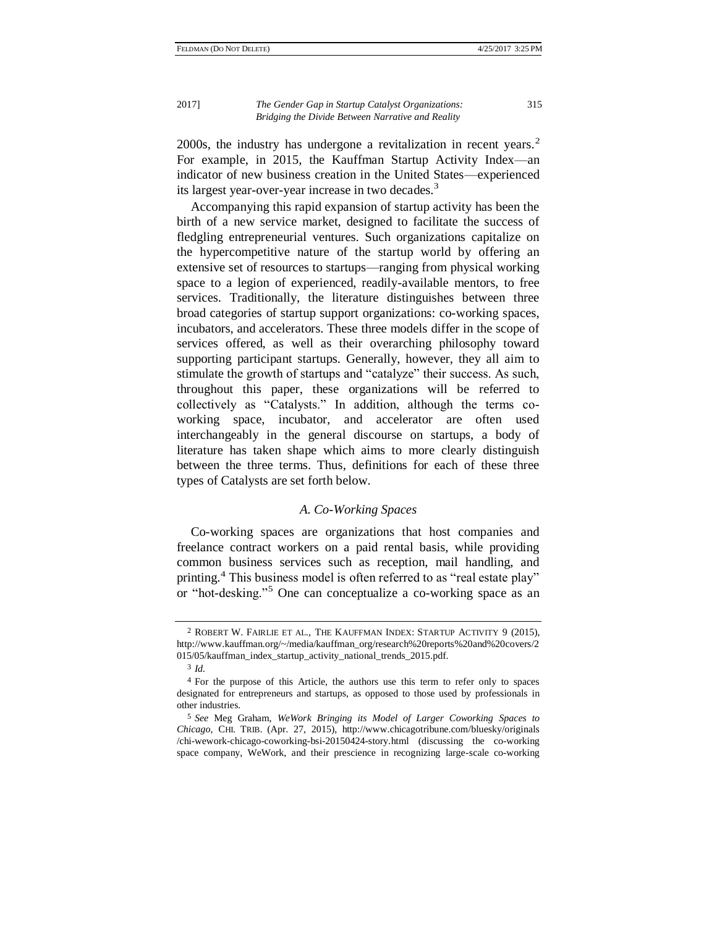2000s, the industry has undergone a revitalization in recent years.<sup>2</sup> For example, in 2015, the Kauffman Startup Activity Index—an indicator of new business creation in the United States—experienced its largest year-over-year increase in two decades.<sup>3</sup>

<span id="page-2-0"></span>Accompanying this rapid expansion of startup activity has been the birth of a new service market, designed to facilitate the success of fledgling entrepreneurial ventures. Such organizations capitalize on the hypercompetitive nature of the startup world by offering an extensive set of resources to startups—ranging from physical working space to a legion of experienced, readily-available mentors, to free services. Traditionally, the literature distinguishes between three broad categories of startup support organizations: co-working spaces, incubators, and accelerators. These three models differ in the scope of services offered, as well as their overarching philosophy toward supporting participant startups. Generally, however, they all aim to stimulate the growth of startups and "catalyze" their success. As such, throughout this paper, these organizations will be referred to collectively as "Catalysts." In addition, although the terms coworking space, incubator, and accelerator are often used interchangeably in the general discourse on startups, a body of literature has taken shape which aims to more clearly distinguish between the three terms. Thus, definitions for each of these three types of Catalysts are set forth below.

## *A. Co-Working Spaces*

Co-working spaces are organizations that host companies and freelance contract workers on a paid rental basis, while providing common business services such as reception, mail handling, and printing.<sup>4</sup> This business model is often referred to as "real estate play" or "hot-desking."<sup>5</sup> One can conceptualize a co-working space as an

<sup>2</sup> ROBERT W. FAIRLIE ET AL., THE KAUFFMAN INDEX: STARTUP ACTIVITY 9 (2015), http://www.kauffman.org/~/media/kauffman\_org/research%20reports%20and%20covers/2 015/05/kauffman\_index\_startup\_activity\_national\_trends\_2015.pdf.

<sup>3</sup> *Id.*

<sup>4</sup> For the purpose of this Article, the authors use this term to refer only to spaces designated for entrepreneurs and startups, as opposed to those used by professionals in other industries.

<sup>5</sup> *See* Meg Graham, *WeWork Bringing its Model of Larger Coworking Spaces to Chicago*, CHI. TRIB. (Apr. 27, 2015), http://www.chicagotribune.com/bluesky/originals /chi-wework-chicago-coworking-bsi-20150424-story.html (discussing the co-working space company, WeWork, and their prescience in recognizing large-scale co-working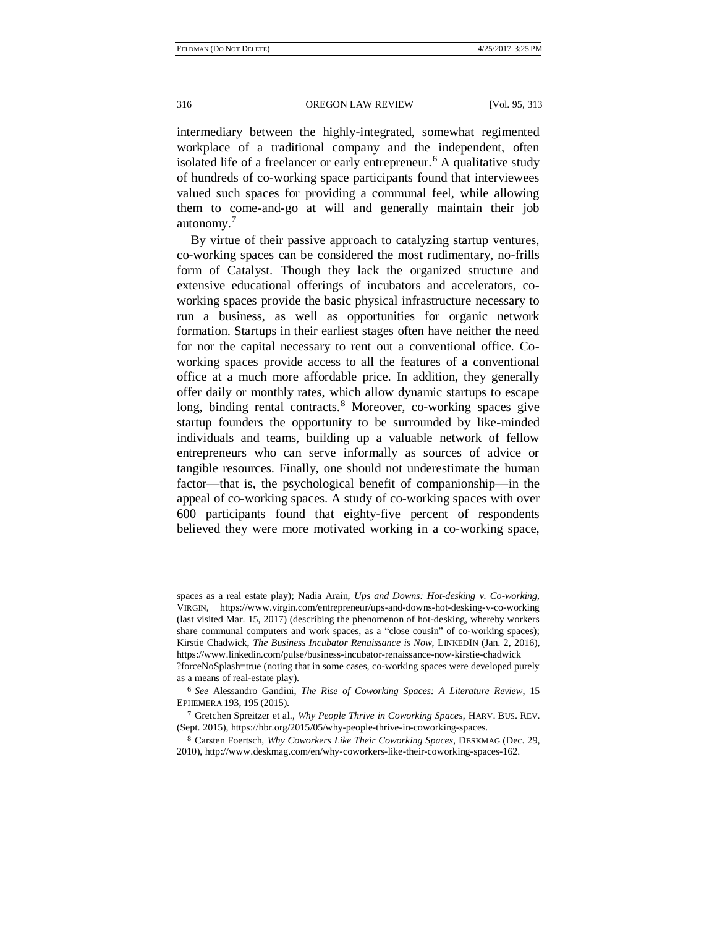intermediary between the highly-integrated, somewhat regimented workplace of a traditional company and the independent, often isolated life of a freelancer or early entrepreneur.<sup>6</sup> A qualitative study of hundreds of co-working space participants found that interviewees valued such spaces for providing a communal feel, while allowing them to come-and-go at will and generally maintain their job autonomy.<sup>7</sup>

By virtue of their passive approach to catalyzing startup ventures, co-working spaces can be considered the most rudimentary, no-frills form of Catalyst. Though they lack the organized structure and extensive educational offerings of incubators and accelerators, coworking spaces provide the basic physical infrastructure necessary to run a business, as well as opportunities for organic network formation. Startups in their earliest stages often have neither the need for nor the capital necessary to rent out a conventional office. Coworking spaces provide access to all the features of a conventional office at a much more affordable price. In addition, they generally offer daily or monthly rates, which allow dynamic startups to escape long, binding rental contracts.<sup>8</sup> Moreover, co-working spaces give startup founders the opportunity to be surrounded by like-minded individuals and teams, building up a valuable network of fellow entrepreneurs who can serve informally as sources of advice or tangible resources. Finally, one should not underestimate the human factor—that is, the psychological benefit of companionship—in the appeal of co-working spaces. A study of co-working spaces with over 600 participants found that eighty-five percent of respondents believed they were more motivated working in a co-working space,

spaces as a real estate play); Nadia Arain, *Ups and Downs: Hot-desking v. Co-working*, VIRGIN, https://www.virgin.com/entrepreneur/ups-and-downs-hot-desking-v-co-working (last visited Mar. 15, 2017) (describing the phenomenon of hot-desking, whereby workers share communal computers and work spaces, as a "close cousin" of co-working spaces); Kirstie Chadwick, *The Business Incubator Renaissance is Now*, LINKEDIN (Jan. 2, 2016), https://www.linkedin.com/pulse/business-incubator-renaissance-now-kirstie-chadwick ?forceNoSplash=true (noting that in some cases, co-working spaces were developed purely

as a means of real-estate play).

<sup>6</sup> *See* Alessandro Gandini, *The Rise of Coworking Spaces: A Literature Review*, 15 EPHEMERA 193, 195 (2015).

<sup>7</sup> Gretchen Spreitzer et al., *Why People Thrive in Coworking Spaces*, HARV. BUS. REV. (Sept. 2015), https://hbr.org/2015/05/why-people-thrive-in-coworking-spaces.

<sup>8</sup> Carsten Foertsch, *Why Coworkers Like Their Coworking Spaces*, DESKMAG (Dec. 29, 2010), http://www.deskmag.com/en/why-coworkers-like-their-coworking-spaces-162.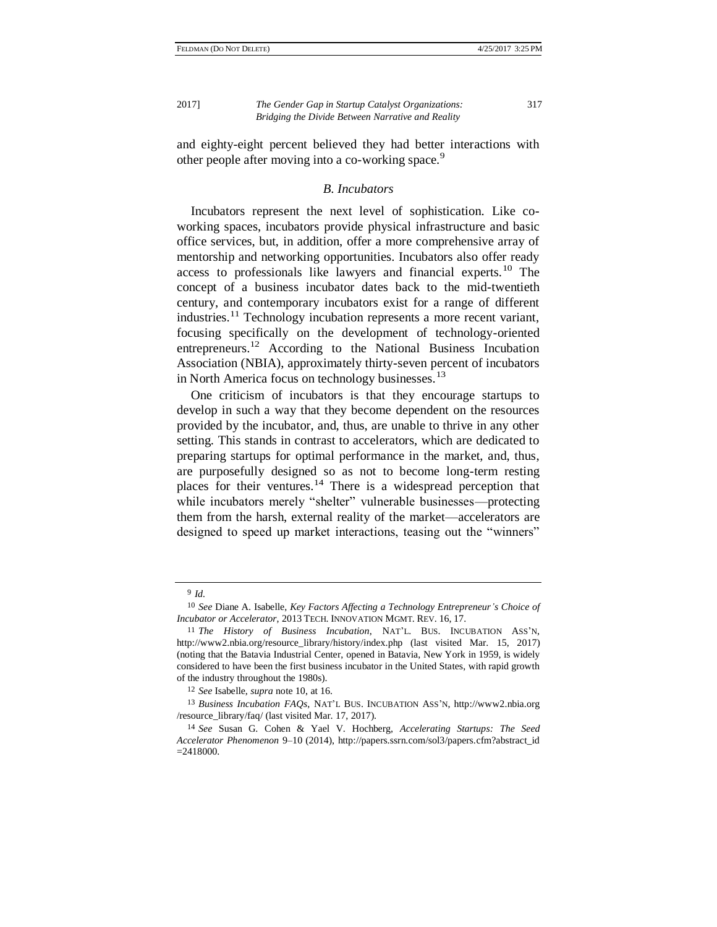and eighty-eight percent believed they had better interactions with other people after moving into a co-working space.<sup>9</sup>

#### *B. Incubators*

Incubators represent the next level of sophistication. Like coworking spaces, incubators provide physical infrastructure and basic office services, but, in addition, offer a more comprehensive array of mentorship and networking opportunities. Incubators also offer ready access to professionals like lawyers and financial experts.<sup>10</sup> The concept of a business incubator dates back to the mid-twentieth century, and contemporary incubators exist for a range of different industries.<sup>11</sup> Technology incubation represents a more recent variant, focusing specifically on the development of technology-oriented entrepreneurs.<sup>12</sup> According to the National Business Incubation Association (NBIA), approximately thirty-seven percent of incubators in North America focus on technology businesses.<sup>13</sup>

One criticism of incubators is that they encourage startups to develop in such a way that they become dependent on the resources provided by the incubator, and, thus, are unable to thrive in any other setting. This stands in contrast to accelerators, which are dedicated to preparing startups for optimal performance in the market, and, thus, are purposefully designed so as not to become long-term resting places for their ventures.<sup>14</sup> There is a widespread perception that while incubators merely "shelter" vulnerable businesses—protecting them from the harsh, external reality of the market—accelerators are designed to speed up market interactions, teasing out the "winners"

<sup>9</sup> *Id.*

<sup>10</sup> *See* Diane A. Isabelle, *Key Factors Affecting a Technology Entrepreneur's Choice of Incubator or Accelerator*, 2013 TECH. INNOVATION MGMT. REV. 16, 17.

<sup>11</sup> *The History of Business Incubation*, NAT'L. BUS. INCUBATION ASS'N, http://www2.nbia.org/resource\_library/history/index.php (last visited Mar. 15, 2017) (noting that the Batavia Industrial Center, opened in Batavia, New York in 1959, is widely considered to have been the first business incubator in the United States, with rapid growth of the industry throughout the 1980s).

<sup>12</sup> *See* Isabelle, *supra* note 10, at 16.

<sup>13</sup> *Business Incubation FAQs*, NAT'L BUS. INCUBATION ASS'N, http://www2.nbia.org /resource\_library/faq/ (last visited Mar. 17, 2017).

<sup>14</sup> *See* Susan G. Cohen & Yael V. Hochberg, *Accelerating Startups: The Seed Accelerator Phenomenon* 9–10 (2014), http://papers.ssrn.com/sol3/papers.cfm?abstract\_id  $=2418000.$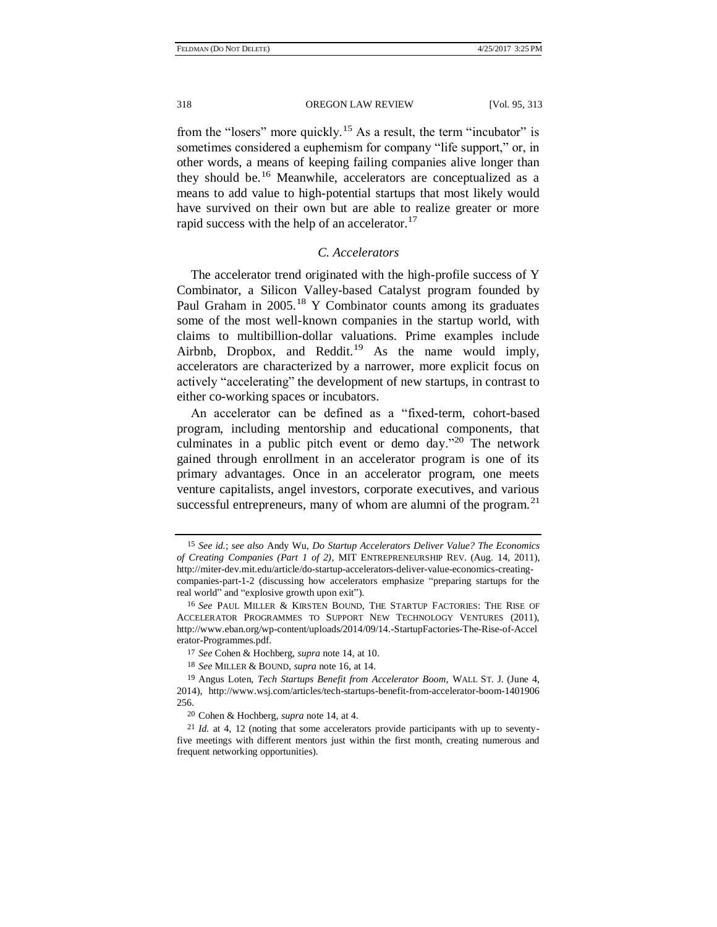from the "losers" more quickly.<sup>15</sup> As a result, the term "incubator" is sometimes considered a euphemism for company "life support," or, in other words, a means of keeping failing companies alive longer than they should be.<sup>16</sup> Meanwhile, accelerators are conceptualized as a means to add value to high-potential startups that most likely would have survived on their own but are able to realize greater or more rapid success with the help of an accelerator. $^{17}$ 

### *C. Accelerators*

The accelerator trend originated with the high-profile success of Y Combinator, a Silicon Valley-based Catalyst program founded by Paul Graham in 2005.<sup>18</sup> Y Combinator counts among its graduates some of the most well-known companies in the startup world, with claims to multibillion-dollar valuations. Prime examples include Airbnb, Dropbox, and Reddit.<sup>19</sup> As the name would imply, accelerators are characterized by a narrower, more explicit focus on actively "accelerating" the development of new startups, in contrast to either co-working spaces or incubators.

An accelerator can be defined as a "fixed-term, cohort-based program, including mentorship and educational components, that culminates in a public pitch event or demo day. $120$  The network gained through enrollment in an accelerator program is one of its primary advantages. Once in an accelerator program, one meets venture capitalists, angel investors, corporate executives, and various successful entrepreneurs, many of whom are alumni of the program. $21$ 

<sup>15</sup> *See id.*; *see also* Andy Wu, *Do Startup Accelerators Deliver Value? The Economics of Creating Companies (Part 1 of 2)*, MIT ENTREPRENEURSHIP REV. (Aug. 14, 2011), http://miter-dev.mit.edu/article/do-startup-accelerators-deliver-value-economics-creatingcompanies-part-1-2 (discussing how accelerators emphasize "preparing startups for the real world" and "explosive growth upon exit").

<sup>16</sup> *See* PAUL MILLER & KIRSTEN BOUND, THE STARTUP FACTORIES: THE RISE OF ACCELERATOR PROGRAMMES TO SUPPORT NEW TECHNOLOGY VENTURES (2011), http://www.eban.org/wp-content/uploads/2014/09/14.-StartupFactories-The-Rise-of-Accel erator-Programmes.pdf.

<sup>17</sup> *See* Cohen & Hochberg, *supra* note 14, at 10.

<sup>18</sup> *See* MILLER & BOUND, *supra* note 16, at 14.

<sup>19</sup> Angus Loten, *Tech Startups Benefit from Accelerator Boom,* WALL ST. J. (June 4, 2014), http://www.wsj.com/articles/tech-startups-benefit-from-accelerator-boom-1401906 256.

<sup>20</sup> Cohen & Hochberg, *supra* note 14, at 4.

<sup>21</sup> *Id.* at 4, 12 (noting that some accelerators provide participants with up to seventyfive meetings with different mentors just within the first month, creating numerous and frequent networking opportunities).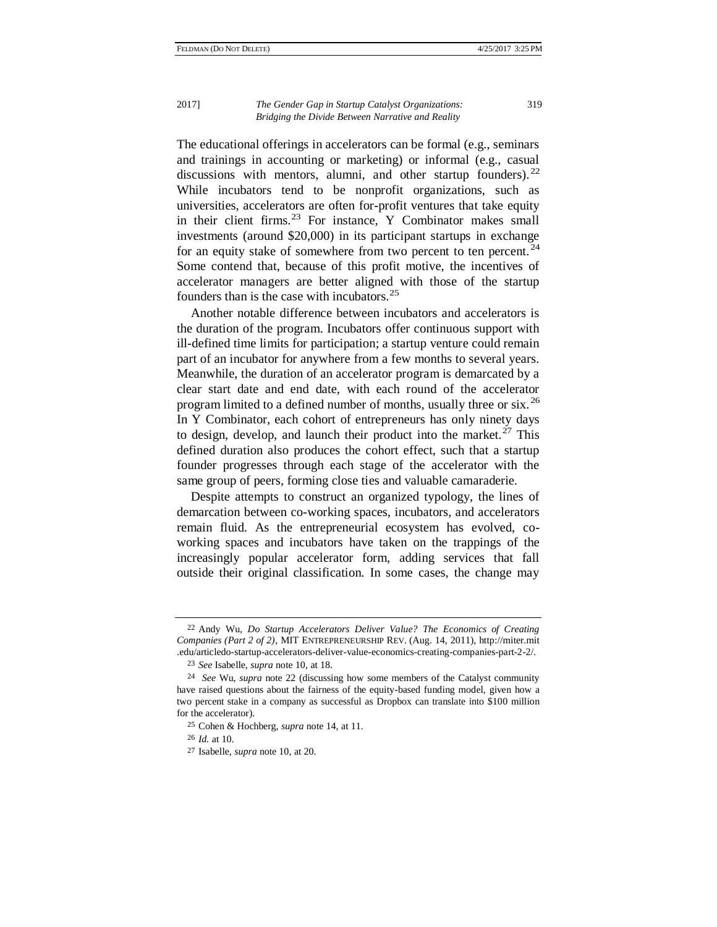The educational offerings in accelerators can be formal (e.g., seminars and trainings in accounting or marketing) or informal (e.g., casual discussions with mentors, alumni, and other startup founders). $22$ While incubators tend to be nonprofit organizations, such as universities, accelerators are often for-profit ventures that take equity in their client firms.<sup>23</sup> For instance, Y Combinator makes small investments (around \$20,000) in its participant startups in exchange for an equity stake of somewhere from two percent to ten percent.<sup>24</sup> Some contend that, because of this profit motive, the incentives of accelerator managers are better aligned with those of the startup founders than is the case with incubators.  $25$ 

Another notable difference between incubators and accelerators is the duration of the program. Incubators offer continuous support with ill-defined time limits for participation; a startup venture could remain part of an incubator for anywhere from a few months to several years. Meanwhile, the duration of an accelerator program is demarcated by a clear start date and end date, with each round of the accelerator program limited to a defined number of months, usually three or  $s$ ix.<sup>26</sup> In Y Combinator, each cohort of entrepreneurs has only ninety days to design, develop, and launch their product into the market.<sup>27</sup> This defined duration also produces the cohort effect, such that a startup founder progresses through each stage of the accelerator with the same group of peers, forming close ties and valuable camaraderie.

Despite attempts to construct an organized typology, the lines of demarcation between co-working spaces, incubators, and accelerators remain fluid. As the entrepreneurial ecosystem has evolved, coworking spaces and incubators have taken on the trappings of the increasingly popular accelerator form, adding services that fall outside their original classification. In some cases, the change may

<sup>22</sup> Andy Wu, *Do Startup Accelerators Deliver Value? The Economics of Creating Companies (Part 2 of 2)*, MIT ENTREPRENEURSHIP REV. (Aug. 14, 2011), http://miter.mit .edu/articledo-startup-accelerators-deliver-value-economics-creating-companies-part-2-2/.

<sup>23</sup> *See* Isabelle, *supra* note 10, at 18.

<sup>24</sup> *See* Wu, *supra* note 22 (discussing how some members of the Catalyst community have raised questions about the fairness of the equity-based funding model, given how a two percent stake in a company as successful as Dropbox can translate into \$100 million for the accelerator).

<sup>25</sup> Cohen & Hochberg, *supra* note 14, at 11.

<sup>26</sup> *Id.* at 10.

<sup>27</sup> Isabelle, *supra* note 10, at 20.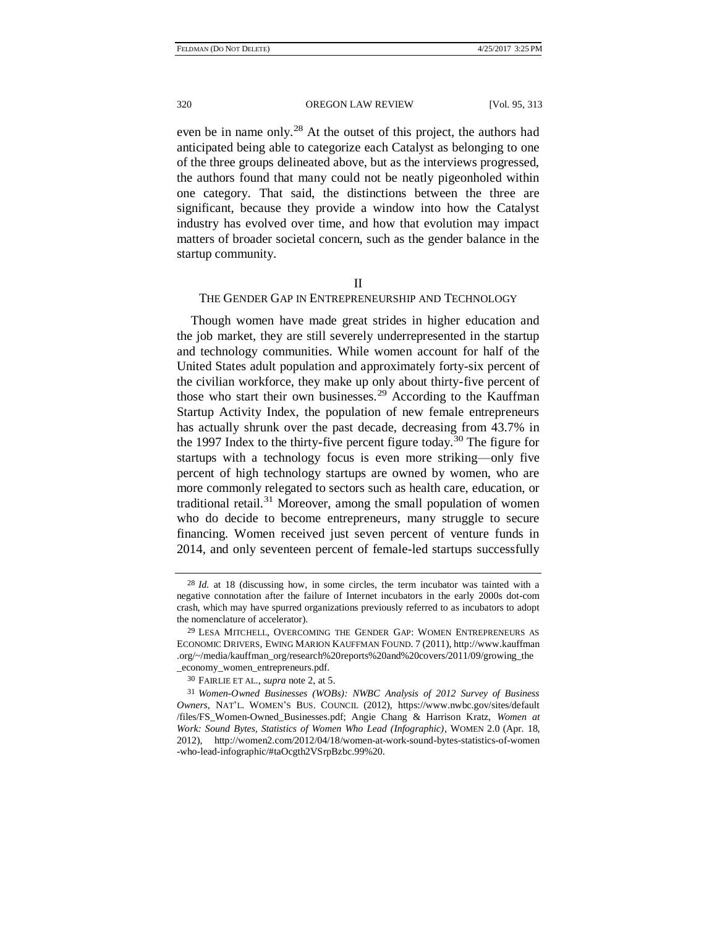<span id="page-7-0"></span>even be in name only.<sup>28</sup> At the outset of this project, the authors had anticipated being able to categorize each Catalyst as belonging to one of the three groups delineated above, but as the interviews progressed, the authors found that many could not be neatly pigeonholed within one category. That said, the distinctions between the three are significant, because they provide a window into how the Catalyst industry has evolved over time, and how that evolution may impact matters of broader societal concern, such as the gender balance in the startup community.

#### II

#### THE GENDER GAP IN ENTREPRENEURSHIP AND TECHNOLOGY

Though women have made great strides in higher education and the job market, they are still severely underrepresented in the startup and technology communities. While women account for half of the United States adult population and approximately forty-six percent of the civilian workforce, they make up only about thirty-five percent of those who start their own businesses.<sup>29</sup> According to the Kauffman Startup Activity Index, the population of new female entrepreneurs has actually shrunk over the past decade, decreasing from 43.7% in the 1997 Index to the thirty-five percent figure today.<sup>30</sup> The figure for startups with a technology focus is even more striking—only five percent of high technology startups are owned by women, who are more commonly relegated to sectors such as health care, education, or traditional retail. $31$  Moreover, among the small population of women who do decide to become entrepreneurs, many struggle to secure financing. Women received just seven percent of venture funds in 2014, and only seventeen percent of female-led startups successfully

<sup>28</sup> *Id.* at 18 (discussing how, in some circles, the term incubator was tainted with a negative connotation after the failure of Internet incubators in the early 2000s dot-com crash, which may have spurred organizations previously referred to as incubators to adopt the nomenclature of accelerator).

<sup>29</sup> LESA MITCHELL, OVERCOMING THE GENDER GAP: WOMEN ENTREPRENEURS AS ECONOMIC DRIVERS, EWING MARION KAUFFMAN FOUND. 7 (2011), http://www.kauffman .org/~/media/kauffman\_org/research%20reports%20and%20covers/2011/09/growing\_the \_economy\_women\_entrepreneurs.pdf.

<sup>30</sup> FAIRLIE ET AL., *supra* note 2, at 5.

<sup>31</sup> *Women-Owned Businesses (WOBs): NWBC Analysis of 2012 Survey of Business Owners*, NAT'L. WOMEN'S BUS. COUNCIL (2012), https://www.nwbc.gov/sites/default /files/FS\_Women-Owned\_Businesses.pdf; Angie Chang & Harrison Kratz, *Women at Work: Sound Bytes, Statistics of Women Who Lead (Infographic)*, WOMEN 2.0 (Apr. 18, 2012), http://women2.com/2012/04/18/women-at-work-sound-bytes-statistics-of-women -who-lead-infographic/#taOcgth2VSrpBzbc.99%20.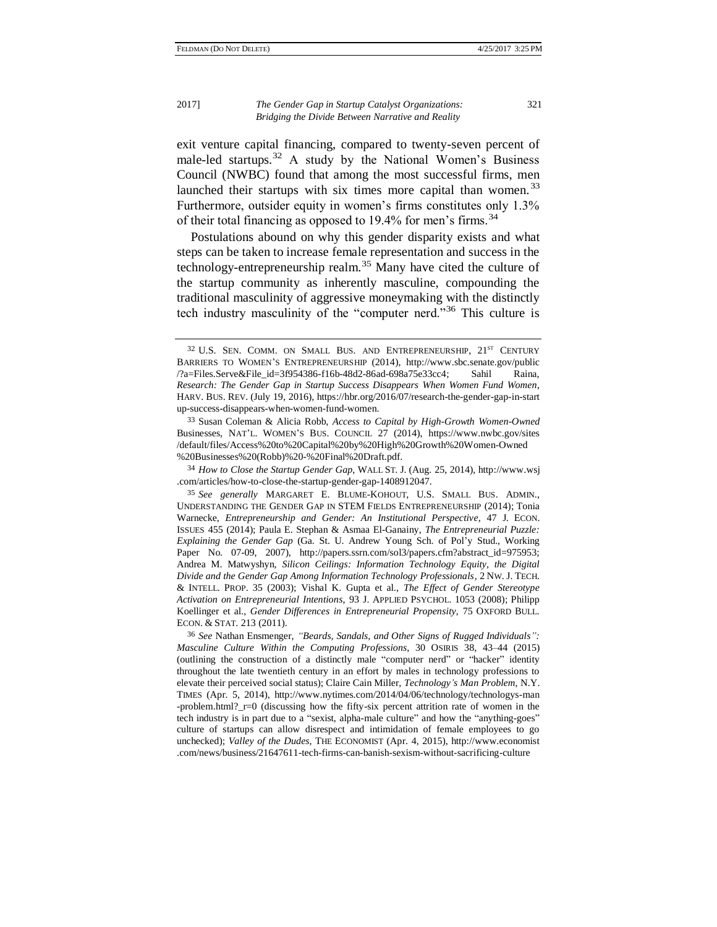exit venture capital financing, compared to twenty-seven percent of male-led startups.<sup>32</sup> A study by the National Women's Business Council (NWBC) found that among the most successful firms, men launched their startups with six times more capital than women.<sup>33</sup> Furthermore, outsider equity in women's firms constitutes only 1.3% of their total financing as opposed to 19.4% for men's firms.<sup>34</sup>

Postulations abound on why this gender disparity exists and what steps can be taken to increase female representation and success in the technology-entrepreneurship realm.<sup>35</sup> Many have cited the culture of the startup community as inherently masculine, compounding the traditional masculinity of aggressive moneymaking with the distinctly tech industry masculinity of the "computer nerd."<sup>36</sup> This culture is

34 *How to Close the Startup Gender Gap*, WALL ST. J. (Aug. 25, 2014), http://www.wsj .com/articles/how-to-close-the-startup-gender-gap-1408912047.

35 *See generally* MARGARET E. BLUME-KOHOUT, U.S. SMALL BUS. ADMIN., UNDERSTANDING THE GENDER GAP IN STEM FIELDS ENTREPRENEURSHIP (2014); Tonia Warnecke, *Entrepreneurship and Gender: An Institutional Perspective*, 47 J. ECON. ISSUES 455 (2014); Paula E. Stephan & Asmaa El-Ganainy, *The Entrepreneurial Puzzle: Explaining the Gender Gap* (Ga. St. U. Andrew Young Sch. of Pol'y Stud., Working Paper No. 07-09, 2007), http://papers.ssrn.com/sol3/papers.cfm?abstract\_id=975953; Andrea M. Matwyshyn, *Silicon Ceilings: Information Technology Equity, the Digital Divide and the Gender Gap Among Information Technology Professionals*, 2 NW. J. TECH. & INTELL. PROP. 35 (2003); Vishal K. Gupta et al., *The Effect of Gender Stereotype Activation on Entrepreneurial Intentions*, 93 J. APPLIED PSYCHOL. 1053 (2008); Philipp Koellinger et al., *Gender Differences in Entrepreneurial Propensity*, 75 OXFORD BULL. ECON. & STAT. 213 (2011).

36 *See* Nathan Ensmenger, *"Beards, Sandals, and Other Signs of Rugged Individuals": Masculine Culture Within the Computing Professions*, 30 OSIRIS 38, 43–44 (2015) (outlining the construction of a distinctly male "computer nerd" or "hacker" identity throughout the late twentieth century in an effort by males in technology professions to elevate their perceived social status); Claire Cain Miller, *Technology's Man Problem*, N.Y. TIMES (Apr. 5, 2014), http://www.nytimes.com/2014/04/06/technology/technologys-man -problem.html?\_r=0 (discussing how the fifty-six percent attrition rate of women in the tech industry is in part due to a "sexist, alpha-male culture" and how the "anything-goes" culture of startups can allow disrespect and intimidation of female employees to go unchecked); *Valley of the Dudes*, THE ECONOMIST (Apr. 4, 2015), http://www.economist .com/news/business/21647611-tech-firms-can-banish-sexism-without-sacrificing-culture

<sup>&</sup>lt;sup>32</sup> U.S. SEN. COMM. ON SMALL BUS. AND ENTREPRENEURSHIP, 21<sup>st</sup> CENTURY BARRIERS TO WOMEN'S ENTREPRENEURSHIP (2014), http://www.sbc.senate.gov/public /?a=Files.Serve&File\_id=3f954386-f16b-48d2-86ad-698a75e33cc4; Sahil Raina, *Research: The Gender Gap in Startup Success Disappears When Women Fund Women*, HARV. BUS. REV. (July 19, 2016), https://hbr.org/2016/07/research-the-gender-gap-in-start up-success-disappears-when-women-fund-women.

<sup>33</sup> Susan Coleman & Alicia Robb, *Access to Capital by High-Growth Women-Owned*  Businesses, NAT'L. WOMEN'S BUS. COUNCIL 27 (2014), https://www.nwbc.gov/sites /default/files/Access%20to%20Capital%20by%20High%20Growth%20Women-Owned %20Businesses%20(Robb)%20-%20Final%20Draft.pdf.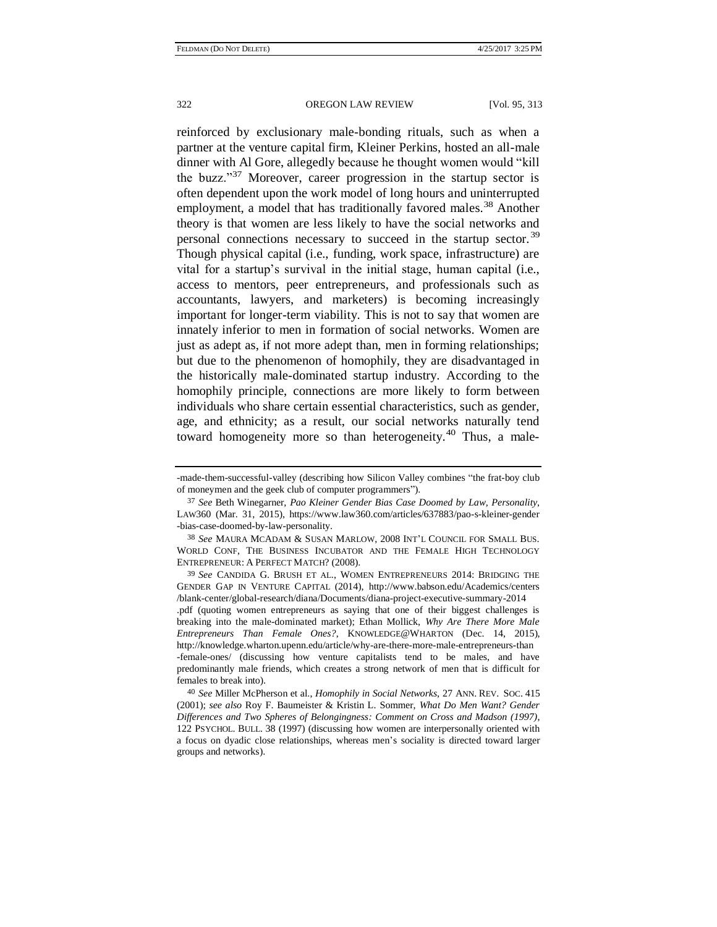reinforced by exclusionary male-bonding rituals, such as when a partner at the venture capital firm, Kleiner Perkins, hosted an all-male dinner with Al Gore, allegedly because he thought women would "kill the buzz."<sup>37</sup> Moreover, career progression in the startup sector is often dependent upon the work model of long hours and uninterrupted employment, a model that has traditionally favored males.<sup>38</sup> Another theory is that women are less likely to have the social networks and personal connections necessary to succeed in the startup sector.<sup>39</sup> Though physical capital (i.e., funding, work space, infrastructure) are vital for a startup's survival in the initial stage, human capital (i.e., access to mentors, peer entrepreneurs, and professionals such as accountants, lawyers, and marketers) is becoming increasingly important for longer-term viability. This is not to say that women are innately inferior to men in formation of social networks. Women are just as adept as, if not more adept than, men in forming relationships; but due to the phenomenon of homophily, they are disadvantaged in the historically male-dominated startup industry. According to the homophily principle, connections are more likely to form between individuals who share certain essential characteristics, such as gender, age, and ethnicity; as a result, our social networks naturally tend toward homogeneity more so than heterogeneity.<sup>40</sup> Thus, a male-

<sup>-</sup>made-them-successful-valley (describing how Silicon Valley combines "the frat-boy club of moneymen and the geek club of computer programmers").

<sup>37</sup> *See* Beth Winegarner, *Pao Kleiner Gender Bias Case Doomed by Law, Personality*, LAW360 (Mar. 31, 2015), https://www.law360.com/articles/637883/pao-s-kleiner-gender -bias-case-doomed-by-law-personality.

<sup>38</sup> *See* MAURA MCADAM & SUSAN MARLOW, 2008 INT'L COUNCIL FOR SMALL BUS. WORLD CONF, THE BUSINESS INCUBATOR AND THE FEMALE HIGH TECHNOLOGY ENTREPRENEUR: A PERFECT MATCH? (2008).

<sup>39</sup> *See* CANDIDA G. BRUSH ET AL., WOMEN ENTREPRENEURS 2014: BRIDGING THE GENDER GAP IN VENTURE CAPITAL (2014), http://www.babson.edu/Academics/centers /blank-center/global-research/diana/Documents/diana-project-executive-summary-2014

<sup>.</sup>pdf (quoting women entrepreneurs as saying that one of their biggest challenges is breaking into the male-dominated market); Ethan Mollick, *Why Are There More Male Entrepreneurs Than Female Ones?*, KNOWLEDGE@WHARTON (Dec. 14, 2015), http://knowledge.wharton.upenn.edu/article/why-are-there-more-male-entrepreneurs-than -female-ones/ (discussing how venture capitalists tend to be males, and have predominantly male friends, which creates a strong network of men that is difficult for females to break into).

<sup>40</sup> *See* Miller McPherson et al., *Homophily in Social Networks*, 27 ANN. REV. SOC. 415 (2001); *see also* Roy F. Baumeister & Kristin L. Sommer, *What Do Men Want? Gender Differences and Two Spheres of Belongingness: Comment on Cross and Madson (1997)*, 122 PSYCHOL. BULL. 38 (1997) (discussing how women are interpersonally oriented with a focus on dyadic close relationships, whereas men's sociality is directed toward larger groups and networks).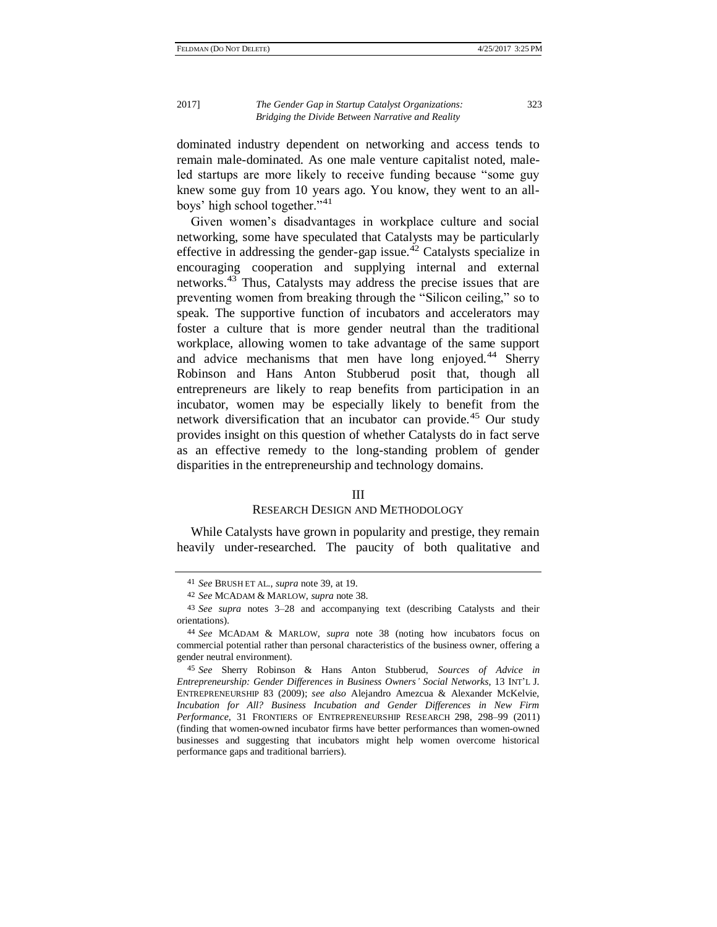dominated industry dependent on networking and access tends to remain male-dominated. As one male venture capitalist noted, maleled startups are more likely to receive funding because "some guy knew some guy from 10 years ago. You know, they went to an allboys' high school together."<sup>41</sup>

Given women's disadvantages in workplace culture and social networking, some have speculated that Catalysts may be particularly effective in addressing the gender-gap issue.<sup>42</sup> Catalysts specialize in encouraging cooperation and supplying internal and external networks.<sup>43</sup> Thus, Catalysts may address the precise issues that are preventing women from breaking through the "Silicon ceiling," so to speak. The supportive function of incubators and accelerators may foster a culture that is more gender neutral than the traditional workplace, allowing women to take advantage of the same support and advice mechanisms that men have long enjoyed.<sup>44</sup> Sherry Robinson and Hans Anton Stubberud posit that, though all entrepreneurs are likely to reap benefits from participation in an incubator, women may be especially likely to benefit from the network diversification that an incubator can provide.<sup>45</sup> Our study provides insight on this question of whether Catalysts do in fact serve as an effective remedy to the long-standing problem of gender disparities in the entrepreneurship and technology domains.

#### III

#### RESEARCH DESIGN AND METHODOLOGY

While Catalysts have grown in popularity and prestige, they remain heavily under-researched. The paucity of both qualitative and

<sup>41</sup> *See* BRUSH ET AL., *supra* note 39, at 19.

<sup>42</sup> *See* MCADAM & MARLOW, *supra* note 38.

<sup>43</sup> *See supra* notes [3–](#page-2-0)[28](#page-7-0) and accompanying text (describing Catalysts and their orientations).

<sup>44</sup> *See* MCADAM & MARLOW, *supra* note 38 (noting how incubators focus on commercial potential rather than personal characteristics of the business owner, offering a gender neutral environment).

<sup>45</sup> *See* Sherry Robinson & Hans Anton Stubberud, *Sources of Advice in Entrepreneurship: Gender Differences in Business Owners' Social Networks*, 13 INT'L J. ENTREPRENEURSHIP 83 (2009); *see also* Alejandro Amezcua & Alexander McKelvie, *Incubation for All? Business Incubation and Gender Differences in New Firm Performance*, 31 FRONTIERS OF ENTREPRENEURSHIP RESEARCH 298, 298–99 (2011) (finding that women-owned incubator firms have better performances than women-owned businesses and suggesting that incubators might help women overcome historical performance gaps and traditional barriers).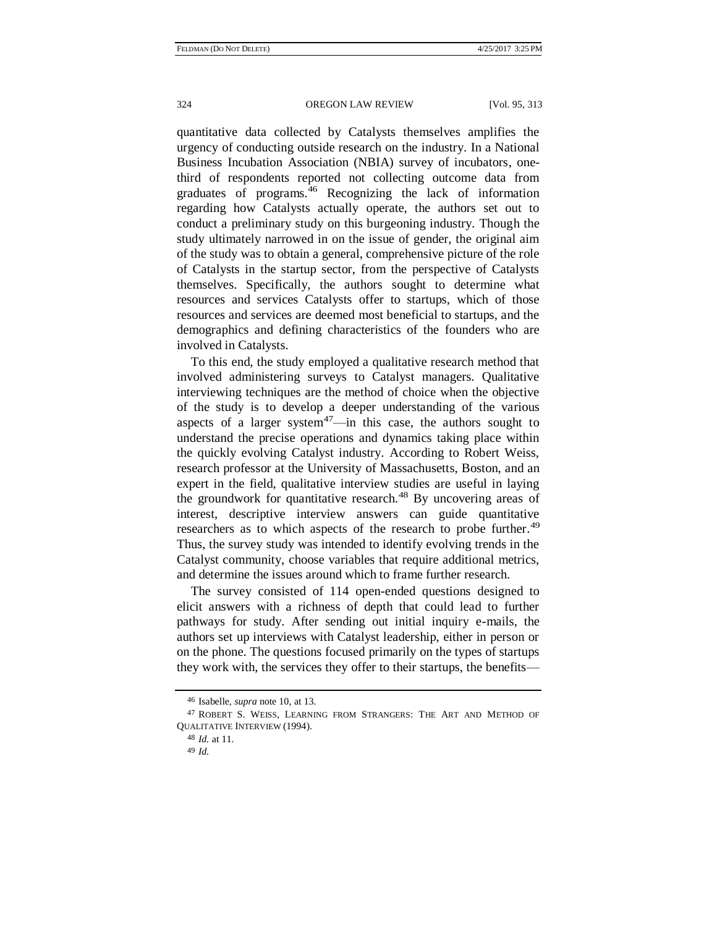quantitative data collected by Catalysts themselves amplifies the urgency of conducting outside research on the industry. In a National Business Incubation Association (NBIA) survey of incubators, onethird of respondents reported not collecting outcome data from graduates of programs.<sup>46</sup> Recognizing the lack of information regarding how Catalysts actually operate, the authors set out to conduct a preliminary study on this burgeoning industry. Though the study ultimately narrowed in on the issue of gender, the original aim of the study was to obtain a general, comprehensive picture of the role of Catalysts in the startup sector, from the perspective of Catalysts themselves. Specifically, the authors sought to determine what resources and services Catalysts offer to startups, which of those resources and services are deemed most beneficial to startups, and the demographics and defining characteristics of the founders who are involved in Catalysts.

To this end, the study employed a qualitative research method that involved administering surveys to Catalyst managers. Qualitative interviewing techniques are the method of choice when the objective of the study is to develop a deeper understanding of the various aspects of a larger system<sup>47</sup>—in this case, the authors sought to understand the precise operations and dynamics taking place within the quickly evolving Catalyst industry. According to Robert Weiss, research professor at the University of Massachusetts, Boston, and an expert in the field, qualitative interview studies are useful in laying the groundwork for quantitative research.<sup>48</sup> By uncovering areas of interest, descriptive interview answers can guide quantitative researchers as to which aspects of the research to probe further.<sup>49</sup> Thus, the survey study was intended to identify evolving trends in the Catalyst community, choose variables that require additional metrics, and determine the issues around which to frame further research.

The survey consisted of 114 open-ended questions designed to elicit answers with a richness of depth that could lead to further pathways for study. After sending out initial inquiry e-mails, the authors set up interviews with Catalyst leadership, either in person or on the phone. The questions focused primarily on the types of startups they work with, the services they offer to their startups, the benefits—

<sup>46</sup> Isabelle, *supra* note 10, at 13.

<sup>47</sup> ROBERT S. WEISS, LEARNING FROM STRANGERS: THE ART AND METHOD OF QUALITATIVE INTERVIEW (1994).

<sup>48</sup> *Id.* at 11.

<sup>49</sup> *Id.*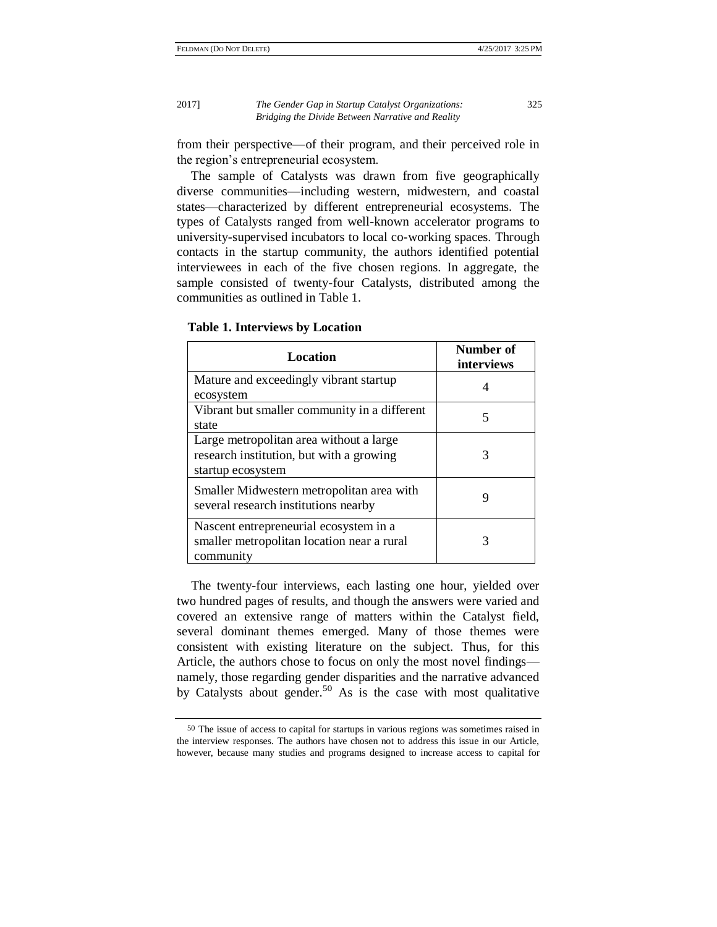from their perspective—of their program, and their perceived role in the region's entrepreneurial ecosystem.

The sample of Catalysts was drawn from five geographically diverse communities—including western, midwestern, and coastal states—characterized by different entrepreneurial ecosystems. The types of Catalysts ranged from well-known accelerator programs to university-supervised incubators to local co-working spaces. Through contacts in the startup community, the authors identified potential interviewees in each of the five chosen regions. In aggregate, the sample consisted of twenty-four Catalysts, distributed among the communities as outlined in Table 1.

| Location                                                                                                 | Number of<br>interviews |
|----------------------------------------------------------------------------------------------------------|-------------------------|
| Mature and exceedingly vibrant startup<br>ecosystem                                                      |                         |
| Vibrant but smaller community in a different<br>state                                                    | 5                       |
| Large metropolitan area without a large<br>research institution, but with a growing<br>startup ecosystem | 3                       |
| Smaller Midwestern metropolitan area with<br>several research institutions nearby                        | 9                       |
| Nascent entrepreneurial ecosystem in a<br>smaller metropolitan location near a rural<br>community        | 3                       |

**Table 1. Interviews by Location**

The twenty-four interviews, each lasting one hour, yielded over two hundred pages of results, and though the answers were varied and covered an extensive range of matters within the Catalyst field, several dominant themes emerged. Many of those themes were consistent with existing literature on the subject. Thus, for this Article, the authors chose to focus on only the most novel findings namely, those regarding gender disparities and the narrative advanced by Catalysts about gender.<sup>50</sup> As is the case with most qualitative

<sup>50</sup> The issue of access to capital for startups in various regions was sometimes raised in the interview responses. The authors have chosen not to address this issue in our Article, however, because many studies and programs designed to increase access to capital for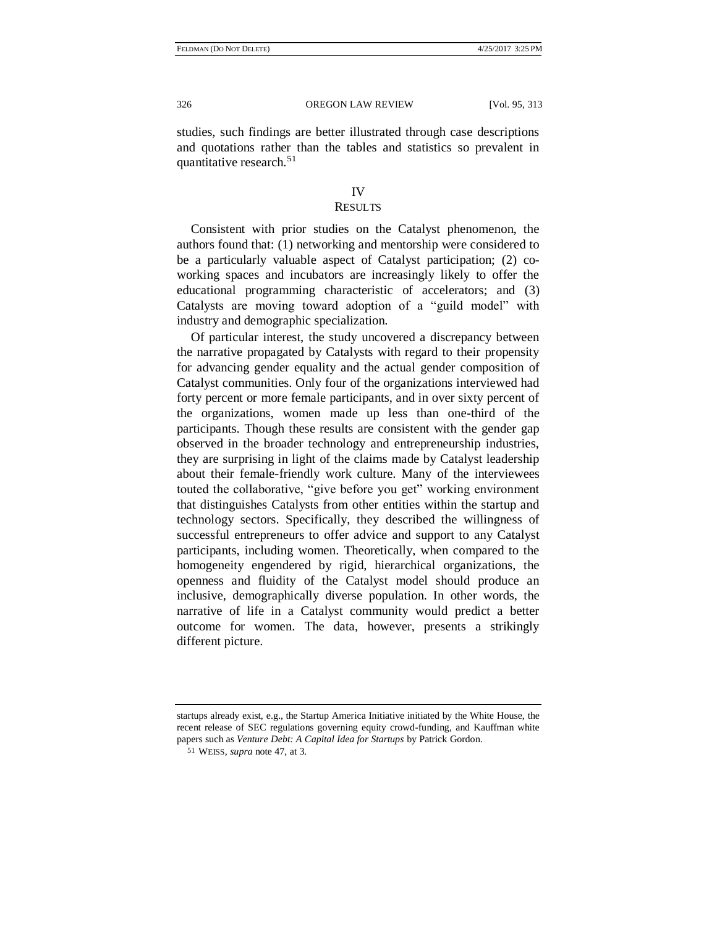studies, such findings are better illustrated through case descriptions and quotations rather than the tables and statistics so prevalent in quantitative research. $51$ 

#### IV

#### **RESULTS**

Consistent with prior studies on the Catalyst phenomenon, the authors found that: (1) networking and mentorship were considered to be a particularly valuable aspect of Catalyst participation; (2) coworking spaces and incubators are increasingly likely to offer the educational programming characteristic of accelerators; and (3) Catalysts are moving toward adoption of a "guild model" with industry and demographic specialization.

Of particular interest, the study uncovered a discrepancy between the narrative propagated by Catalysts with regard to their propensity for advancing gender equality and the actual gender composition of Catalyst communities. Only four of the organizations interviewed had forty percent or more female participants, and in over sixty percent of the organizations, women made up less than one-third of the participants. Though these results are consistent with the gender gap observed in the broader technology and entrepreneurship industries, they are surprising in light of the claims made by Catalyst leadership about their female-friendly work culture. Many of the interviewees touted the collaborative, "give before you get" working environment that distinguishes Catalysts from other entities within the startup and technology sectors. Specifically, they described the willingness of successful entrepreneurs to offer advice and support to any Catalyst participants, including women. Theoretically, when compared to the homogeneity engendered by rigid, hierarchical organizations, the openness and fluidity of the Catalyst model should produce an inclusive, demographically diverse population. In other words, the narrative of life in a Catalyst community would predict a better outcome for women. The data, however, presents a strikingly different picture.

startups already exist, e.g., the Startup America Initiative initiated by the White House, the recent release of SEC regulations governing equity crowd-funding, and Kauffman white papers such as *Venture Debt: A Capital Idea for Startups* by Patrick Gordon.

<sup>51</sup> WEISS, *supra* note 47, at 3.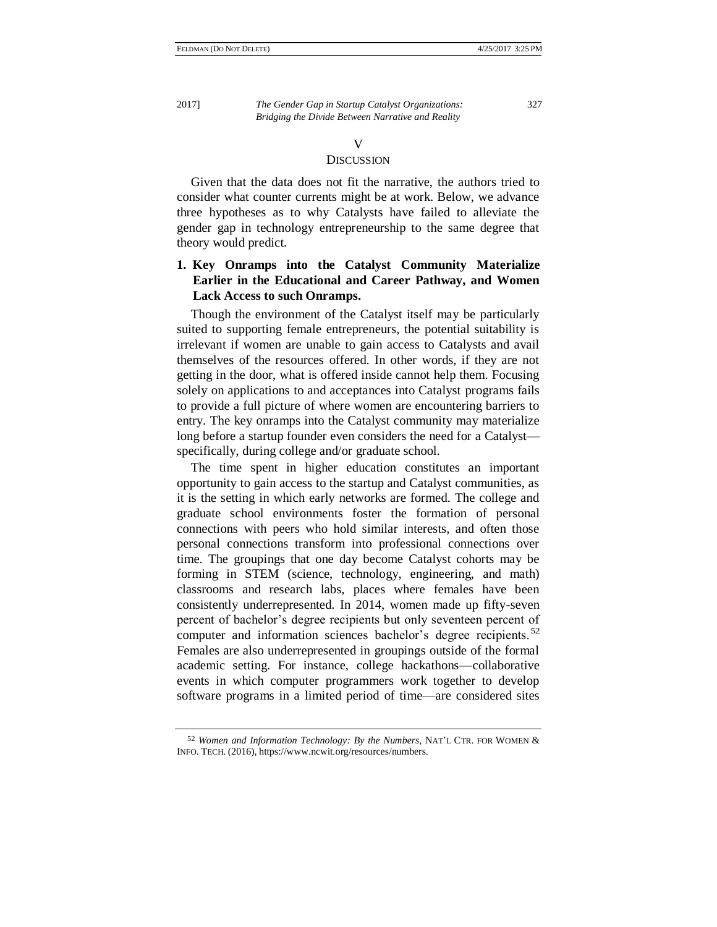#### V

#### **DISCUSSION**

Given that the data does not fit the narrative, the authors tried to consider what counter currents might be at work. Below, we advance three hypotheses as to why Catalysts have failed to alleviate the gender gap in technology entrepreneurship to the same degree that theory would predict.

# **1. Key Onramps into the Catalyst Community Materialize Earlier in the Educational and Career Pathway, and Women Lack Access to such Onramps.**

Though the environment of the Catalyst itself may be particularly suited to supporting female entrepreneurs, the potential suitability is irrelevant if women are unable to gain access to Catalysts and avail themselves of the resources offered. In other words, if they are not getting in the door, what is offered inside cannot help them. Focusing solely on applications to and acceptances into Catalyst programs fails to provide a full picture of where women are encountering barriers to entry. The key onramps into the Catalyst community may materialize long before a startup founder even considers the need for a Catalyst specifically, during college and/or graduate school.

The time spent in higher education constitutes an important opportunity to gain access to the startup and Catalyst communities, as it is the setting in which early networks are formed. The college and graduate school environments foster the formation of personal connections with peers who hold similar interests, and often those personal connections transform into professional connections over time. The groupings that one day become Catalyst cohorts may be forming in STEM (science, technology, engineering, and math) classrooms and research labs, places where females have been consistently underrepresented. In 2014, women made up fifty-seven percent of bachelor's degree recipients but only seventeen percent of computer and information sciences bachelor's degree recipients.<sup>52</sup> Females are also underrepresented in groupings outside of the formal academic setting. For instance, college hackathons—collaborative events in which computer programmers work together to develop software programs in a limited period of time—are considered sites

<sup>52</sup> *Women and Information Technology: By the Numbers*, NAT'L CTR. FOR WOMEN & INFO. TECH. (2016), https://www.ncwit.org/resources/numbers.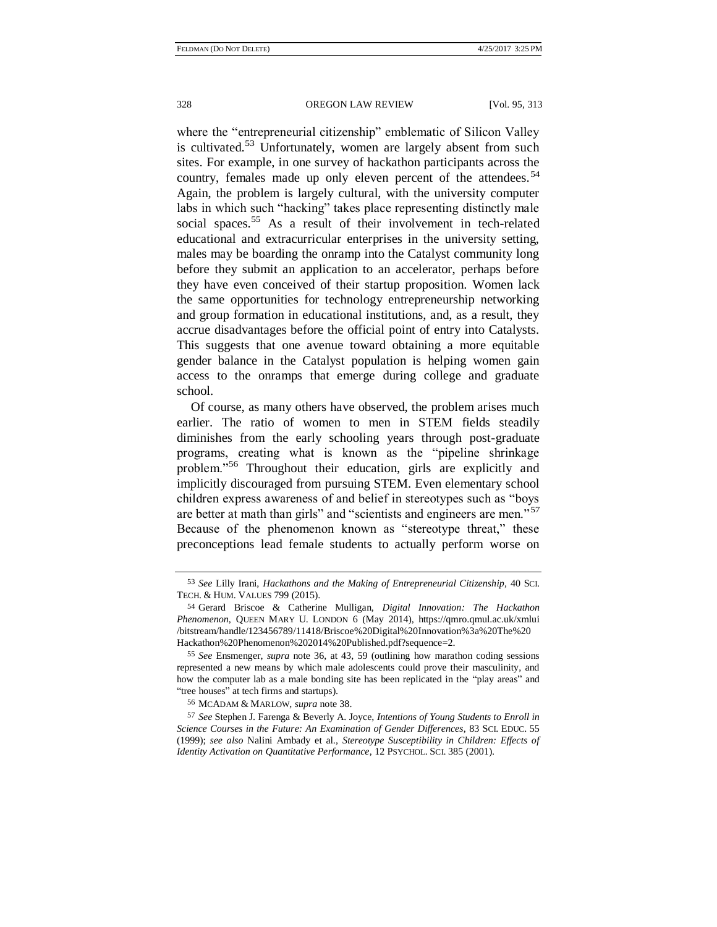where the "entrepreneurial citizenship" emblematic of Silicon Valley is cultivated.<sup>53</sup> Unfortunately, women are largely absent from such sites. For example, in one survey of hackathon participants across the country, females made up only eleven percent of the attendees.<sup>54</sup> Again, the problem is largely cultural, with the university computer labs in which such "hacking" takes place representing distinctly male social spaces.<sup>55</sup> As a result of their involvement in tech-related educational and extracurricular enterprises in the university setting, males may be boarding the onramp into the Catalyst community long before they submit an application to an accelerator, perhaps before they have even conceived of their startup proposition. Women lack the same opportunities for technology entrepreneurship networking and group formation in educational institutions, and, as a result, they accrue disadvantages before the official point of entry into Catalysts. This suggests that one avenue toward obtaining a more equitable gender balance in the Catalyst population is helping women gain access to the onramps that emerge during college and graduate school.

Of course, as many others have observed, the problem arises much earlier. The ratio of women to men in STEM fields steadily diminishes from the early schooling years through post-graduate programs, creating what is known as the "pipeline shrinkage problem."<sup>56</sup> Throughout their education, girls are explicitly and implicitly discouraged from pursuing STEM. Even elementary school children express awareness of and belief in stereotypes such as "boys are better at math than girls" and "scientists and engineers are men."<sup>57</sup> Because of the phenomenon known as "stereotype threat," these preconceptions lead female students to actually perform worse on

<sup>53</sup> *See* Lilly Irani, *Hackathons and the Making of Entrepreneurial Citizenship*, 40 SCI. TECH. & HUM. VALUES 799 (2015).

<sup>54</sup> Gerard Briscoe & Catherine Mulligan, *Digital Innovation: The Hackathon Phenomenon*, QUEEN MARY U. LONDON 6 (May 2014), https://qmro.qmul.ac.uk/xmlui /bitstream/handle/123456789/11418/Briscoe%20Digital%20Innovation%3a%20The%20 Hackathon%20Phenomenon%202014%20Published.pdf?sequence=2.

<sup>55</sup> *See* Ensmenger, *supra* note 36, at 43, 59 (outlining how marathon coding sessions represented a new means by which male adolescents could prove their masculinity, and how the computer lab as a male bonding site has been replicated in the "play areas" and "tree houses" at tech firms and startups).

<sup>56</sup> MCADAM & MARLOW, *supra* note 38.

<sup>57</sup> *See* Stephen J. Farenga & Beverly A. Joyce, *Intentions of Young Students to Enroll in Science Courses in the Future: An Examination of Gender Differences*, 83 SCI. EDUC. 55 (1999); *see also* Nalini Ambady et al., *Stereotype Susceptibility in Children: Effects of Identity Activation on Quantitative Performance*, 12 PSYCHOL. SCI. 385 (2001).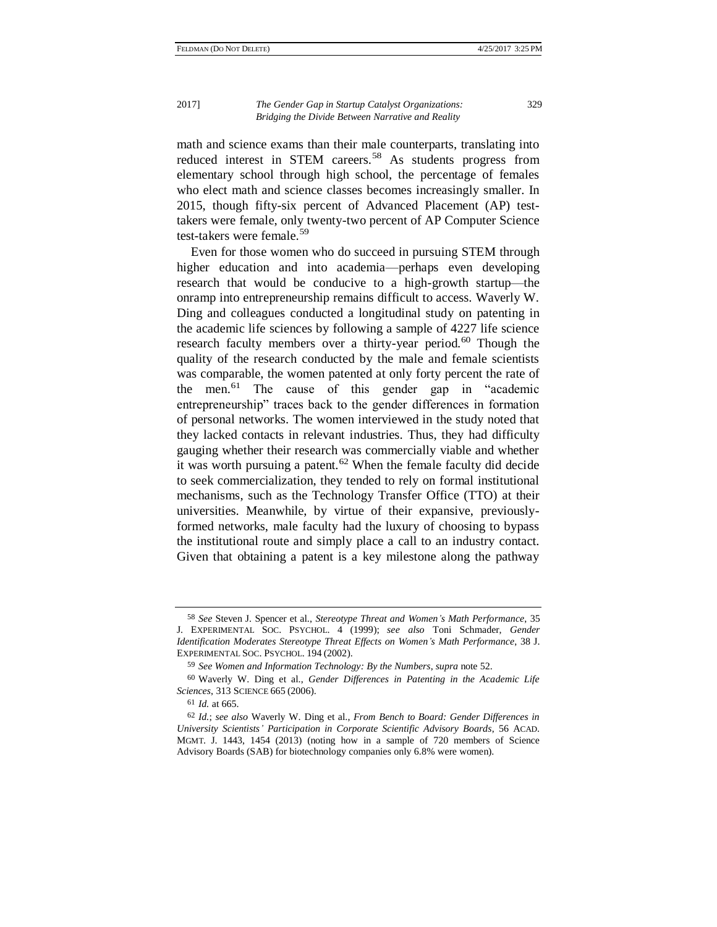math and science exams than their male counterparts, translating into reduced interest in STEM careers.<sup>58</sup> As students progress from elementary school through high school, the percentage of females who elect math and science classes becomes increasingly smaller. In 2015, though fifty-six percent of Advanced Placement (AP) testtakers were female, only twenty-two percent of AP Computer Science test-takers were female.<sup>59</sup>

Even for those women who do succeed in pursuing STEM through higher education and into academia—perhaps even developing research that would be conducive to a high-growth startup—the onramp into entrepreneurship remains difficult to access. Waverly W. Ding and colleagues conducted a longitudinal study on patenting in the academic life sciences by following a sample of 4227 life science research faculty members over a thirty-year period.<sup>60</sup> Though the quality of the research conducted by the male and female scientists was comparable, the women patented at only forty percent the rate of the men.<sup>61</sup> The cause of this gender gap in "academic entrepreneurship" traces back to the gender differences in formation of personal networks. The women interviewed in the study noted that they lacked contacts in relevant industries. Thus, they had difficulty gauging whether their research was commercially viable and whether it was worth pursuing a patent.<sup>62</sup> When the female faculty did decide to seek commercialization, they tended to rely on formal institutional mechanisms, such as the Technology Transfer Office (TTO) at their universities. Meanwhile, by virtue of their expansive, previouslyformed networks, male faculty had the luxury of choosing to bypass the institutional route and simply place a call to an industry contact. Given that obtaining a patent is a key milestone along the pathway

<sup>58</sup> *See* Steven J. Spencer et al., *Stereotype Threat and Women's Math Performance*, 35 J. EXPERIMENTAL SOC. PSYCHOL. 4 (1999); *see also* Toni Schmader, *Gender Identification Moderates Stereotype Threat Effects on Women's Math Performance*, 38 J. EXPERIMENTAL SOC. PSYCHOL. 194 (2002).

<sup>59</sup> *See Women and Information Technology: By the Numbers*, *supra* note 52.

<sup>60</sup> Waverly W. Ding et al., *Gender Differences in Patenting in the Academic Life Sciences*, 313 SCIENCE 665 (2006).

<sup>61</sup> *Id.* at 665.

<sup>62</sup> *Id.*; *see also* Waverly W. Ding et al., *From Bench to Board: Gender Differences in University Scientists' Participation in Corporate Scientific Advisory Boards*, 56 ACAD. MGMT. J. 1443, 1454 (2013) (noting how in a sample of 720 members of Science Advisory Boards (SAB) for biotechnology companies only 6.8% were women).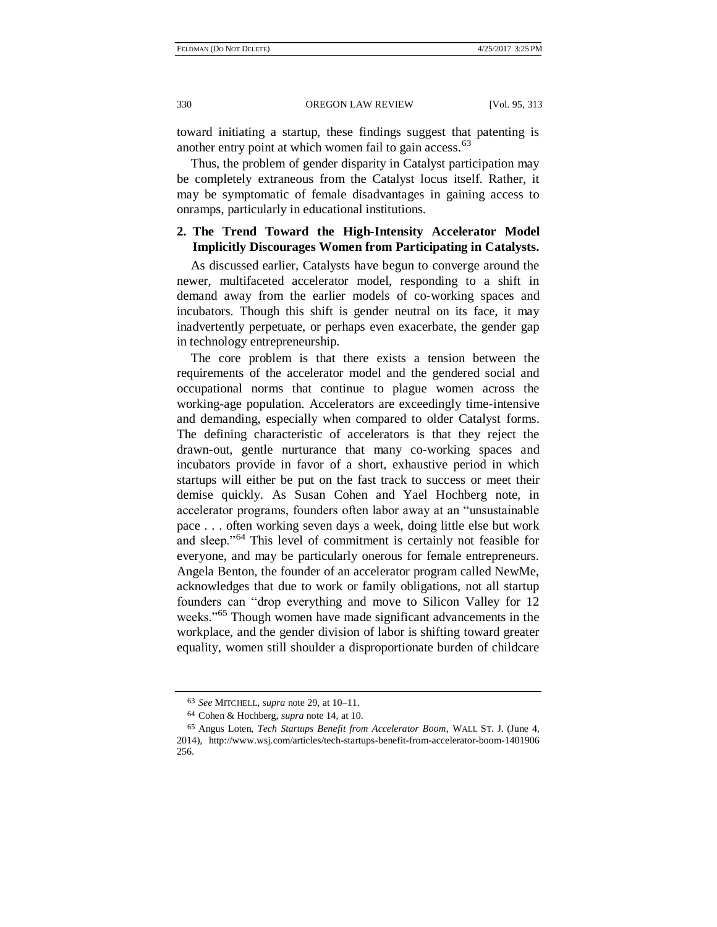toward initiating a startup, these findings suggest that patenting is another entry point at which women fail to gain access.<sup>63</sup>

Thus, the problem of gender disparity in Catalyst participation may be completely extraneous from the Catalyst locus itself. Rather, it may be symptomatic of female disadvantages in gaining access to onramps, particularly in educational institutions.

## **2. The Trend Toward the High-Intensity Accelerator Model Implicitly Discourages Women from Participating in Catalysts.**

As discussed earlier, Catalysts have begun to converge around the newer, multifaceted accelerator model, responding to a shift in demand away from the earlier models of co-working spaces and incubators. Though this shift is gender neutral on its face, it may inadvertently perpetuate, or perhaps even exacerbate, the gender gap in technology entrepreneurship.

The core problem is that there exists a tension between the requirements of the accelerator model and the gendered social and occupational norms that continue to plague women across the working-age population. Accelerators are exceedingly time-intensive and demanding, especially when compared to older Catalyst forms. The defining characteristic of accelerators is that they reject the drawn-out, gentle nurturance that many co-working spaces and incubators provide in favor of a short, exhaustive period in which startups will either be put on the fast track to success or meet their demise quickly. As Susan Cohen and Yael Hochberg note, in accelerator programs, founders often labor away at an "unsustainable pace . . . often working seven days a week, doing little else but work and sleep."<sup>64</sup> This level of commitment is certainly not feasible for everyone, and may be particularly onerous for female entrepreneurs. Angela Benton, the founder of an accelerator program called NewMe, acknowledges that due to work or family obligations, not all startup founders can "drop everything and move to Silicon Valley for 12 weeks."<sup>65</sup> Though women have made significant advancements in the workplace, and the gender division of labor is shifting toward greater equality, women still shoulder a disproportionate burden of childcare

<sup>63</sup> *See* MITCHELL, *supra* note 29, at 10–11.

<sup>64</sup> Cohen & Hochberg, *supra* note 14, at 10.

<sup>65</sup> Angus Loten, *Tech Startups Benefit from Accelerator Boom*, WALL ST. J. (June 4, 2014), http://www.wsj.com/articles/tech-startups-benefit-from-accelerator-boom-1401906 256.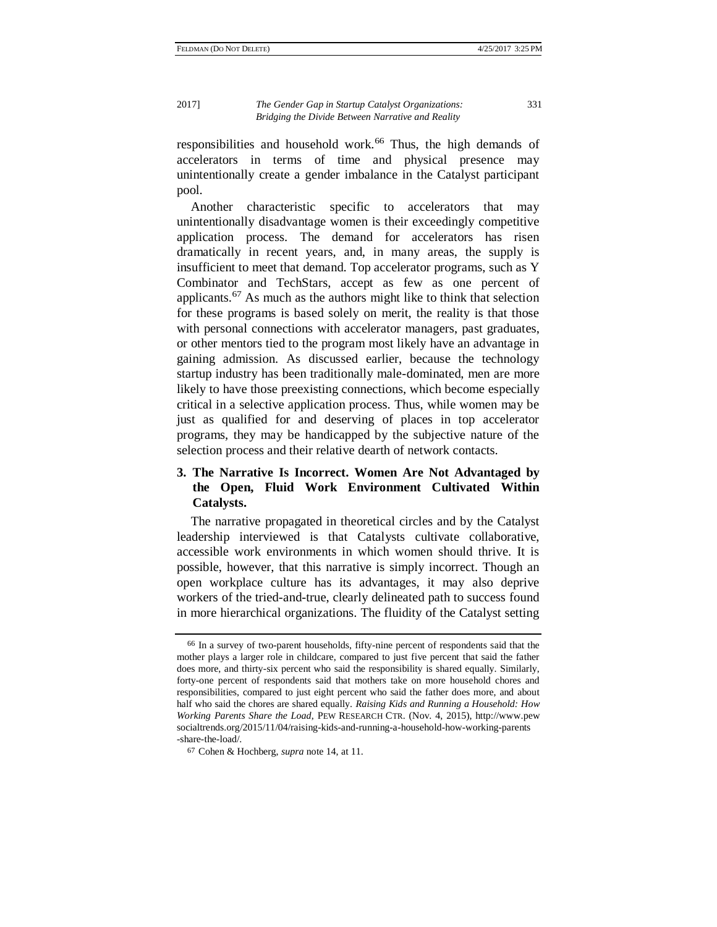responsibilities and household work.<sup>66</sup> Thus, the high demands of accelerators in terms of time and physical presence may unintentionally create a gender imbalance in the Catalyst participant pool.

Another characteristic specific to accelerators that may unintentionally disadvantage women is their exceedingly competitive application process. The demand for accelerators has risen dramatically in recent years, and, in many areas, the supply is insufficient to meet that demand. Top accelerator programs, such as Y Combinator and TechStars, accept as few as one percent of applicants.<sup>67</sup> As much as the authors might like to think that selection for these programs is based solely on merit, the reality is that those with personal connections with accelerator managers, past graduates, or other mentors tied to the program most likely have an advantage in gaining admission. As discussed earlier, because the technology startup industry has been traditionally male-dominated, men are more likely to have those preexisting connections, which become especially critical in a selective application process. Thus, while women may be just as qualified for and deserving of places in top accelerator programs, they may be handicapped by the subjective nature of the selection process and their relative dearth of network contacts.

# **3. The Narrative Is Incorrect. Women Are Not Advantaged by the Open, Fluid Work Environment Cultivated Within Catalysts.**

The narrative propagated in theoretical circles and by the Catalyst leadership interviewed is that Catalysts cultivate collaborative, accessible work environments in which women should thrive. It is possible, however, that this narrative is simply incorrect. Though an open workplace culture has its advantages, it may also deprive workers of the tried-and-true, clearly delineated path to success found in more hierarchical organizations. The fluidity of the Catalyst setting

<sup>66</sup> In a survey of two-parent households, fifty-nine percent of respondents said that the mother plays a larger role in childcare, compared to just five percent that said the father does more, and thirty-six percent who said the responsibility is shared equally. Similarly, forty-one percent of respondents said that mothers take on more household chores and responsibilities, compared to just eight percent who said the father does more, and about half who said the chores are shared equally. *Raising Kids and Running a Household: How Working Parents Share the Load*, PEW RESEARCH CTR. (Nov. 4, 2015), http://www.pew socialtrends.org/2015/11/04/raising-kids-and-running-a-household-how-working-parents -share-the-load/.

<sup>67</sup> Cohen & Hochberg, *supra* note 14, at 11.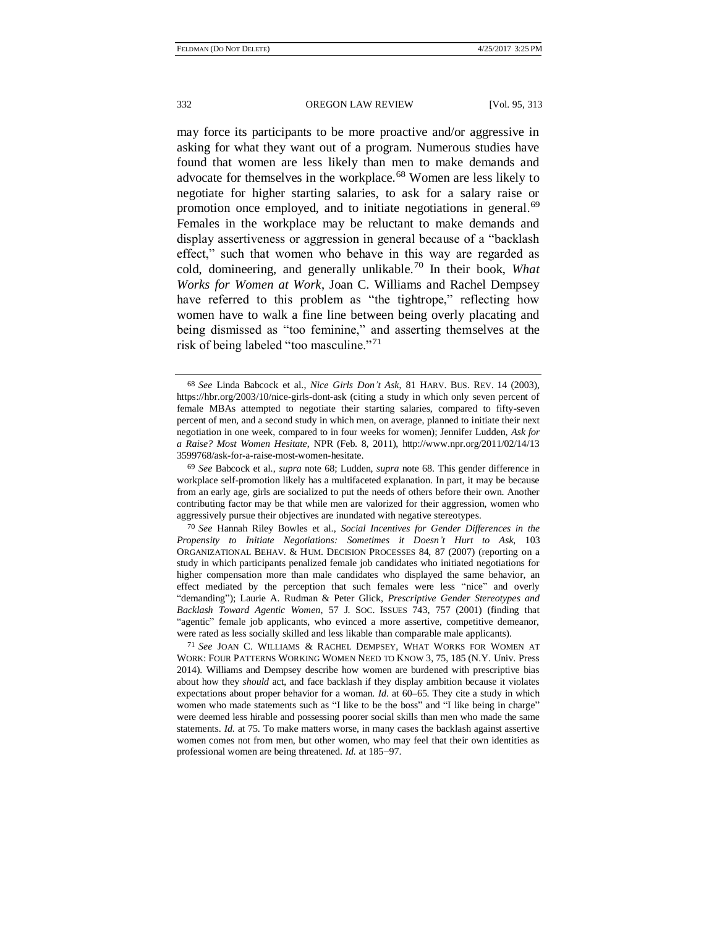may force its participants to be more proactive and/or aggressive in asking for what they want out of a program. Numerous studies have found that women are less likely than men to make demands and advocate for themselves in the workplace.<sup>68</sup> Women are less likely to negotiate for higher starting salaries, to ask for a salary raise or promotion once employed, and to initiate negotiations in general.<sup>69</sup> Females in the workplace may be reluctant to make demands and display assertiveness or aggression in general because of a "backlash effect," such that women who behave in this way are regarded as cold, domineering, and generally unlikable.<sup>70</sup> In their book, *What Works for Women at Work*, Joan C. Williams and Rachel Dempsey have referred to this problem as "the tightrope," reflecting how women have to walk a fine line between being overly placating and being dismissed as "too feminine," and asserting themselves at the risk of being labeled "too masculine."<sup>71</sup>

<sup>68</sup> *See* Linda Babcock et al., *Nice Girls Don't Ask*, 81 HARV. BUS. REV. 14 (2003), https://hbr.org/2003/10/nice-girls-dont-ask (citing a study in which only seven percent of female MBAs attempted to negotiate their starting salaries, compared to fifty-seven percent of men, and a second study in which men, on average, planned to initiate their next negotiation in one week, compared to in four weeks for women); Jennifer Ludden, *Ask for a Raise? Most Women Hesitate*, NPR (Feb. 8, 2011), http://www.npr.org/2011/02/14/13 3599768/ask-for-a-raise-most-women-hesitate.

<sup>69</sup> *See* Babcock et al., *supra* note 68; Ludden, *supra* note 68. This gender difference in workplace self-promotion likely has a multifaceted explanation. In part, it may be because from an early age, girls are socialized to put the needs of others before their own. Another contributing factor may be that while men are valorized for their aggression, women who aggressively pursue their objectives are inundated with negative stereotypes*.*

<sup>70</sup> *See* Hannah Riley Bowles et al., *Social Incentives for Gender Differences in the Propensity to Initiate Negotiations: Sometimes it Doesn't Hurt to Ask*, 103 ORGANIZATIONAL BEHAV. & HUM. DECISION PROCESSES 84, 87 (2007) (reporting on a study in which participants penalized female job candidates who initiated negotiations for higher compensation more than male candidates who displayed the same behavior, an effect mediated by the perception that such females were less "nice" and overly "demanding"); Laurie A. Rudman & Peter Glick, *Prescriptive Gender Stereotypes and Backlash Toward Agentic Women*, 57 J. SOC. ISSUES 743, 757 (2001) (finding that "agentic" female job applicants, who evinced a more assertive, competitive demeanor, were rated as less socially skilled and less likable than comparable male applicants).

<sup>71</sup> *See* JOAN C. WILLIAMS & RACHEL DEMPSEY, WHAT WORKS FOR WOMEN AT WORK: FOUR PATTERNS WORKING WOMEN NEED TO KNOW 3, 75, 185 (N.Y. Univ. Press 2014). Williams and Dempsey describe how women are burdened with prescriptive bias about how they *should* act, and face backlash if they display ambition because it violates expectations about proper behavior for a woman. *Id.* at 60–65. They cite a study in which women who made statements such as "I like to be the boss" and "I like being in charge" were deemed less hirable and possessing poorer social skills than men who made the same statements. *Id.* at 75. To make matters worse, in many cases the backlash against assertive women comes not from men, but other women, who may feel that their own identities as professional women are being threatened. *Id.* at 185−97.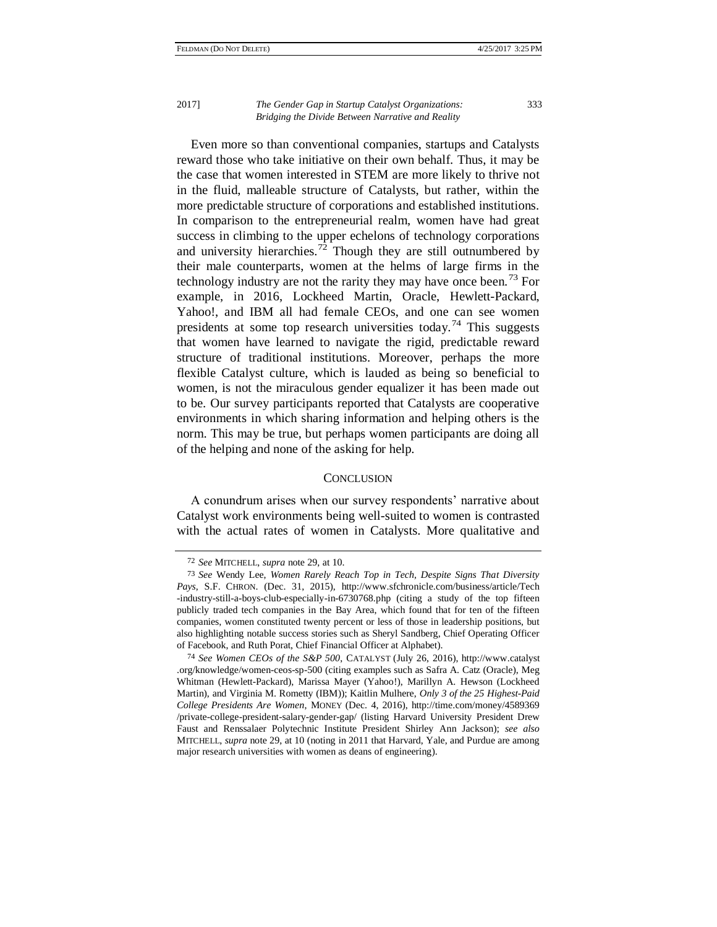Even more so than conventional companies, startups and Catalysts reward those who take initiative on their own behalf. Thus, it may be the case that women interested in STEM are more likely to thrive not in the fluid, malleable structure of Catalysts, but rather, within the more predictable structure of corporations and established institutions. In comparison to the entrepreneurial realm, women have had great success in climbing to the upper echelons of technology corporations and university hierarchies.<sup>72</sup> Though they are still outnumbered by their male counterparts, women at the helms of large firms in the technology industry are not the rarity they may have once been.<sup>73</sup> For example, in 2016, Lockheed Martin, Oracle, Hewlett-Packard, Yahoo!, and IBM all had female CEOs, and one can see women presidents at some top research universities today.<sup>74</sup> This suggests that women have learned to navigate the rigid, predictable reward structure of traditional institutions. Moreover, perhaps the more flexible Catalyst culture, which is lauded as being so beneficial to women, is not the miraculous gender equalizer it has been made out to be. Our survey participants reported that Catalysts are cooperative environments in which sharing information and helping others is the norm. This may be true, but perhaps women participants are doing all of the helping and none of the asking for help.

#### **CONCLUSION**

A conundrum arises when our survey respondents' narrative about Catalyst work environments being well-suited to women is contrasted with the actual rates of women in Catalysts. More qualitative and

<sup>72</sup> *See* MITCHELL, *supra* note 29, at 10.

<sup>73</sup> *See* Wendy Lee, *Women Rarely Reach Top in Tech, Despite Signs That Diversity Pays*, S.F. CHRON. (Dec. 31, 2015), http://www.sfchronicle.com/business/article/Tech -industry-still-a-boys-club-especially-in-6730768.php (citing a study of the top fifteen publicly traded tech companies in the Bay Area, which found that for ten of the fifteen companies, women constituted twenty percent or less of those in leadership positions, but also highlighting notable success stories such as Sheryl Sandberg, Chief Operating Officer of Facebook, and Ruth Porat, Chief Financial Officer at Alphabet).

<sup>74</sup> *See Women CEOs of the S&P 500*, CATALYST (July 26, 2016), http://www.catalyst .org/knowledge/women-ceos-sp-500 (citing examples such as Safra A. Catz (Oracle), Meg Whitman (Hewlett-Packard), Marissa Mayer (Yahoo!), Marillyn A. Hewson (Lockheed Martin), and Virginia M. Rometty (IBM)); Kaitlin Mulhere, *Only 3 of the 25 Highest-Paid College Presidents Are Women*, MONEY (Dec. 4, 2016), http://time.com/money/4589369 /private-college-president-salary-gender-gap/ (listing Harvard University President Drew Faust and Renssalaer Polytechnic Institute President Shirley Ann Jackson); *see also*  MITCHELL, *supra* note 29, at 10 (noting in 2011 that Harvard, Yale, and Purdue are among major research universities with women as deans of engineering).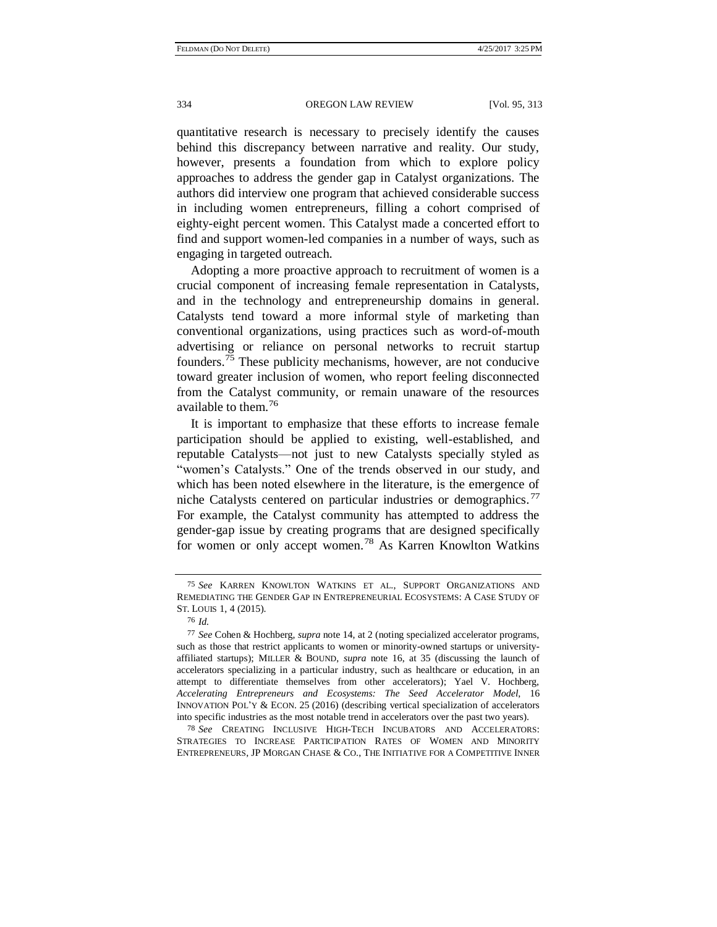quantitative research is necessary to precisely identify the causes behind this discrepancy between narrative and reality. Our study, however, presents a foundation from which to explore policy approaches to address the gender gap in Catalyst organizations. The authors did interview one program that achieved considerable success in including women entrepreneurs, filling a cohort comprised of eighty-eight percent women. This Catalyst made a concerted effort to find and support women-led companies in a number of ways, such as engaging in targeted outreach.

Adopting a more proactive approach to recruitment of women is a crucial component of increasing female representation in Catalysts, and in the technology and entrepreneurship domains in general. Catalysts tend toward a more informal style of marketing than conventional organizations, using practices such as word-of-mouth advertising or reliance on personal networks to recruit startup founders.<sup>75</sup> These publicity mechanisms, however, are not conducive toward greater inclusion of women, who report feeling disconnected from the Catalyst community, or remain unaware of the resources available to them.<sup>76</sup>

It is important to emphasize that these efforts to increase female participation should be applied to existing, well-established, and reputable Catalysts—not just to new Catalysts specially styled as "women's Catalysts." One of the trends observed in our study, and which has been noted elsewhere in the literature, is the emergence of niche Catalysts centered on particular industries or demographics.<sup>77</sup> For example, the Catalyst community has attempted to address the gender-gap issue by creating programs that are designed specifically for women or only accept women.<sup>78</sup> As Karren Knowlton Watkins

78 *See* CREATING INCLUSIVE HIGH-TECH INCUBATORS AND ACCELERATORS: STRATEGIES TO INCREASE PARTICIPATION RATES OF WOMEN AND MINORITY ENTREPRENEURS, JP MORGAN CHASE & CO., THE INITIATIVE FOR A COMPETITIVE INNER

<sup>75</sup> *See* KARREN KNOWLTON WATKINS ET AL., SUPPORT ORGANIZATIONS AND REMEDIATING THE GENDER GAP IN ENTREPRENEURIAL ECOSYSTEMS: A CASE STUDY OF ST. LOUIS 1, 4 (2015).

<sup>76</sup> *Id.*

<sup>77</sup> *See* Cohen & Hochberg, *supra* note 14, at 2 (noting specialized accelerator programs, such as those that restrict applicants to women or minority-owned startups or universityaffiliated startups); MILLER & BOUND, *supra* note 16, at 35 (discussing the launch of accelerators specializing in a particular industry, such as healthcare or education, in an attempt to differentiate themselves from other accelerators); Yael V. Hochberg, *Accelerating Entrepreneurs and Ecosystems: The Seed Accelerator Model*, 16 INNOVATION POL'Y & ECON. 25 (2016) (describing vertical specialization of accelerators into specific industries as the most notable trend in accelerators over the past two years).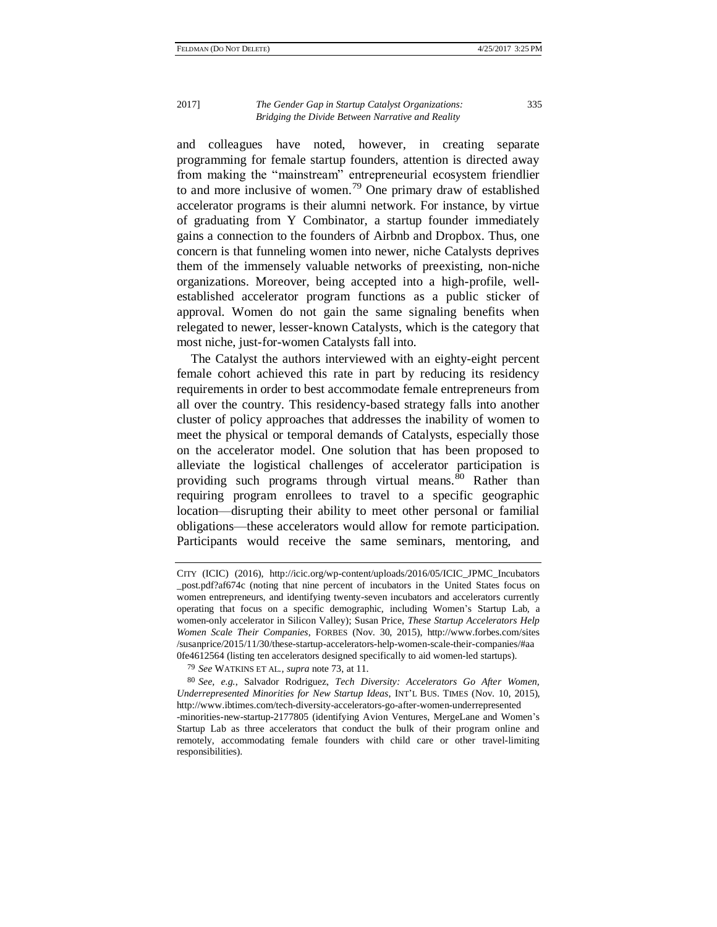and colleagues have noted, however, in creating separate programming for female startup founders, attention is directed away from making the "mainstream" entrepreneurial ecosystem friendlier to and more inclusive of women.<sup>79</sup> One primary draw of established accelerator programs is their alumni network. For instance, by virtue of graduating from Y Combinator, a startup founder immediately gains a connection to the founders of Airbnb and Dropbox. Thus, one concern is that funneling women into newer, niche Catalysts deprives them of the immensely valuable networks of preexisting, non-niche organizations. Moreover, being accepted into a high-profile, wellestablished accelerator program functions as a public sticker of approval. Women do not gain the same signaling benefits when relegated to newer, lesser-known Catalysts, which is the category that most niche, just-for-women Catalysts fall into.

The Catalyst the authors interviewed with an eighty-eight percent female cohort achieved this rate in part by reducing its residency requirements in order to best accommodate female entrepreneurs from all over the country. This residency-based strategy falls into another cluster of policy approaches that addresses the inability of women to meet the physical or temporal demands of Catalysts, especially those on the accelerator model. One solution that has been proposed to alleviate the logistical challenges of accelerator participation is providing such programs through virtual means.<sup>80</sup> Rather than requiring program enrollees to travel to a specific geographic location—disrupting their ability to meet other personal or familial obligations—these accelerators would allow for remote participation. Participants would receive the same seminars, mentoring, and

CITY (ICIC) (2016), http://icic.org/wp-content/uploads/2016/05/ICIC\_JPMC\_Incubators \_post.pdf?af674c (noting that nine percent of incubators in the United States focus on women entrepreneurs, and identifying twenty-seven incubators and accelerators currently operating that focus on a specific demographic, including Women's Startup Lab, a women-only accelerator in Silicon Valley); Susan Price, *These Startup Accelerators Help Women Scale Their Companies*, FORBES (Nov. 30, 2015), http://www.forbes.com/sites /susanprice/2015/11/30/these-startup-accelerators-help-women-scale-their-companies/#aa 0fe4612564 (listing ten accelerators designed specifically to aid women-led startups).

<sup>79</sup> *See* WATKINS ET AL*., supra* note 73, at 11.

<sup>80</sup> *See, e.g.*, Salvador Rodriguez, *Tech Diversity: Accelerators Go After Women, Underrepresented Minorities for New Startup Ideas*, INT'L BUS. TIMES (Nov. 10, 2015), http://www.ibtimes.com/tech-diversity-accelerators-go-after-women-underrepresented -minorities-new-startup-2177805 (identifying Avion Ventures, MergeLane and Women's Startup Lab as three accelerators that conduct the bulk of their program online and remotely, accommodating female founders with child care or other travel-limiting responsibilities).